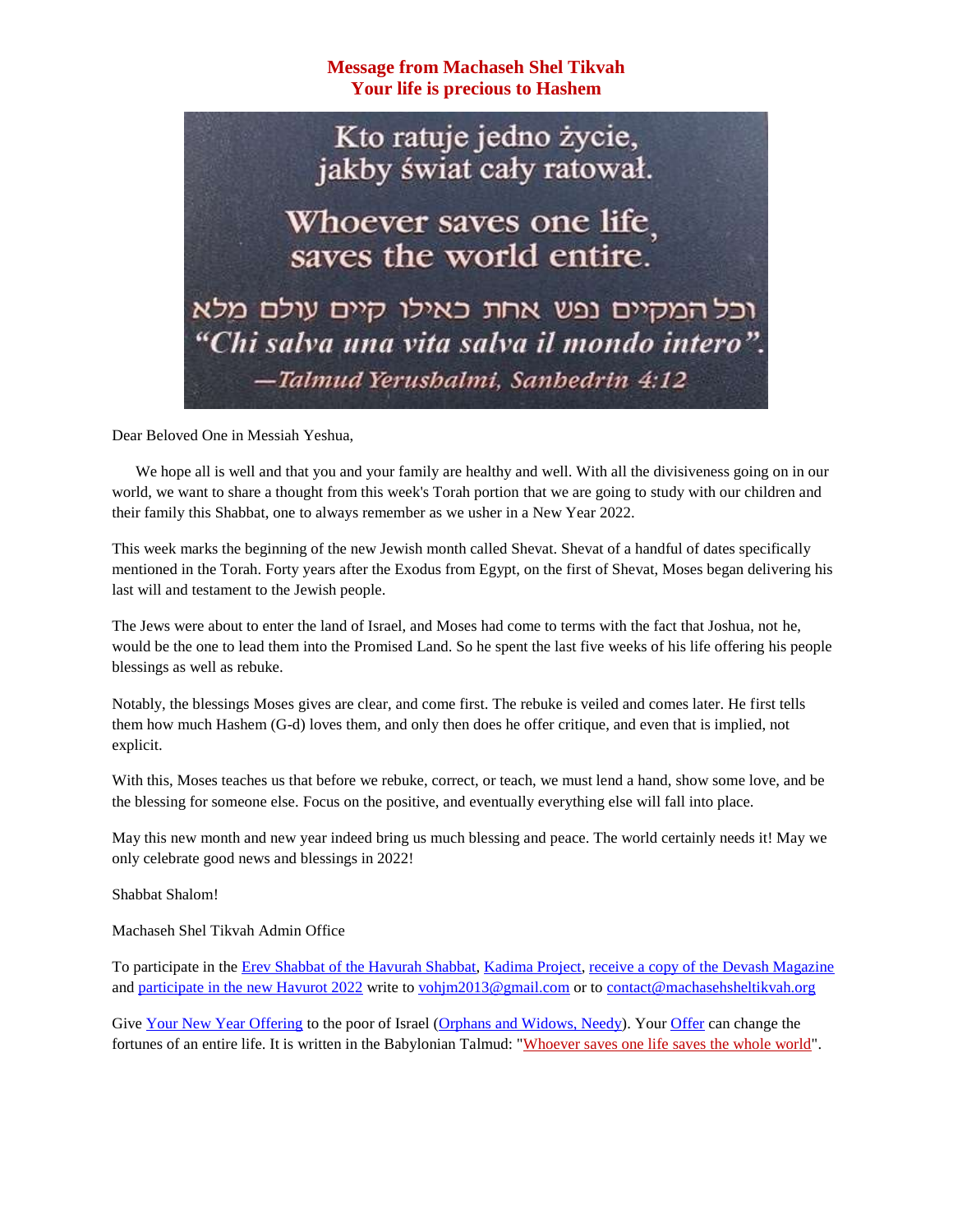**Message from Machaseh Shel Tikvah Your life is precious to Hashem**

Kto ratuje jedno życie, jakby świat cały ratował.

Whoever saves one life. saves the world entire.

וכל המקיים נפש אחת כאילו קיים עולם מלא "Chi salva una vita salva il mondo intero". -Talmud Yerushalmi, Sanhedrin 4:12

Dear Beloved One in Messiah Yeshua,

We hope all is well and that you and your family are healthy and well. With all the divisiveness going on in our world, we want to share a thought from this week's Torah portion that we are going to study with our children and their family this Shabbat, one to always remember as we usher in a New Year 2022.

This week marks the beginning of the new Jewish month called Shevat. Shevat of a handful of dates specifically mentioned in the Torah. Forty years after the Exodus from Egypt, on the first of Shevat, Moses began delivering his last will and testament to the Jewish people.

The Jews were about to enter the land of Israel, and Moses had come to terms with the fact that Joshua, not he, would be the one to lead them into the Promised Land. So he spent the last five weeks of his life offering his people blessings as well as rebuke.

Notably, the blessings Moses gives are clear, and come first. The rebuke is veiled and comes later. He first tells them how much Hashem (G-d) loves them, and only then does he offer critique, and even that is implied, not explicit.

With this, Moses teaches us that before we rebuke, correct, or teach, we must lend a hand, show some love, and be the blessing for someone else. Focus on the positive, and eventually everything else will fall into place.

May this new month and new year indeed bring us much blessing and peace. The world certainly needs it! May we only celebrate good news and blessings in 2022!

Shabbat Shalom!

Machaseh Shel Tikvah Admin Office

To participate in the [Erev Shabbat of the Havurah Shabbat, Kadima Project, receive a copy of the Devash Magazine](https://machasehsheltikvah.org/post.php?post_id=99) and [participate in the new Havurot 2022](https://villageofhopejusticeministry.files.wordpress.com/2021/12/havurah-shalom-friends.pdf) write to [vohjm2013@gmail.com](mailto:vohjm2013@gmail.com) or to [contact@machasehsheltikvah.org](mailto:contact@machasehsheltikvah.org)

Give [Your New Year Offering](https://machasehsheltikvah.org/events.php) to the poor of Israel [\(Orphans and Widows, Needy\)](https://machasehsheltikvah.org/events.php). Your [Offer](https://machasehsheltikvah.org/events.php) can change the fortunes of an entire life. It is written in the Babylonian Talmud: ["Whoever saves one life saves the whole world"](https://machasehsheltikvah.org/events.php).